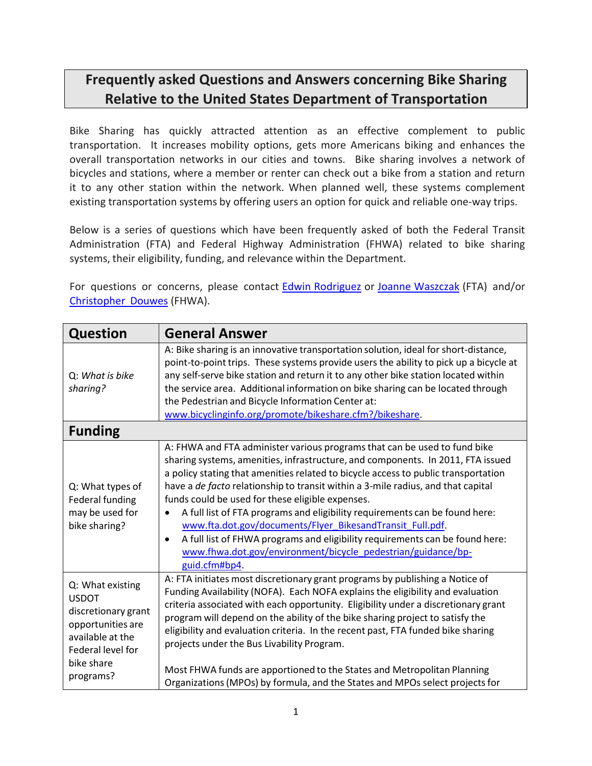## **Frequently asked Questions and Answers concerning Bike Sharing Relative to the United States Department of Transportation**

Bike Sharing has quickly attracted attention as an effective complement to public transportation. It increases mobility options, gets more Americans biking and enhances the overall transportation networks in our cities and towns. Bike sharing involves a network of bicycles and stations, where a member or renter can check out a bike from a station and return it to any other station within the network. When planned well, these systems complement existing transportation systems by offering users an option for quick and reliable one‐way trips.

Below is a series of questions which have been frequently asked of both the Federal Transit Administration (FTA) and Federal Highway Administration (FHWA) related to bike sharing systems, their eligibility, funding, and relevance within the Department.

For questions or concerns, please contact [Edwin Rodriguez](mailto:edwin.rodriguez@dot.gov) or [Joanne Waszczak](mailto:joanne.waszczak@dot.gov) (FTA) and/or [Christopher](mailto:christopher.douwes@dot.gov) Douwes (FHWA).

| <b>Question</b>                                                                                                                                  | <b>General Answer</b>                                                                                                                                                                                                                                                                                                                                                                                                                                                                                                                                                                                                                                                                                                |  |
|--------------------------------------------------------------------------------------------------------------------------------------------------|----------------------------------------------------------------------------------------------------------------------------------------------------------------------------------------------------------------------------------------------------------------------------------------------------------------------------------------------------------------------------------------------------------------------------------------------------------------------------------------------------------------------------------------------------------------------------------------------------------------------------------------------------------------------------------------------------------------------|--|
| Q: What is bike<br>sharing?                                                                                                                      | A: Bike sharing is an innovative transportation solution, ideal for short-distance,<br>point-to-point trips. These systems provide users the ability to pick up a bicycle at<br>any self-serve bike station and return it to any other bike station located within<br>the service area. Additional information on bike sharing can be located through<br>the Pedestrian and Bicycle Information Center at:<br>www.bicyclinginfo.org/promote/bikeshare.cfm?/bikeshare.                                                                                                                                                                                                                                                |  |
| <b>Funding</b>                                                                                                                                   |                                                                                                                                                                                                                                                                                                                                                                                                                                                                                                                                                                                                                                                                                                                      |  |
| Q: What types of<br>Federal funding<br>may be used for<br>bike sharing?                                                                          | A: FHWA and FTA administer various programs that can be used to fund bike<br>sharing systems, amenities, infrastructure, and components. In 2011, FTA issued<br>a policy stating that amenities related to bicycle access to public transportation<br>have a de facto relationship to transit within a 3-mile radius, and that capital<br>funds could be used for these eligible expenses.<br>A full list of FTA programs and eligibility requirements can be found here:<br>www.fta.dot.gov/documents/Flyer BikesandTransit Full.pdf.<br>A full list of FHWA programs and eligibility requirements can be found here:<br>$\bullet$<br>www.fhwa.dot.gov/environment/bicycle_pedestrian/guidance/bp-<br>guid.cfm#bp4. |  |
| Q: What existing<br><b>USDOT</b><br>discretionary grant<br>opportunities are<br>available at the<br>Federal level for<br>bike share<br>programs? | A: FTA initiates most discretionary grant programs by publishing a Notice of<br>Funding Availability (NOFA). Each NOFA explains the eligibility and evaluation<br>criteria associated with each opportunity. Eligibility under a discretionary grant<br>program will depend on the ability of the bike sharing project to satisfy the<br>eligibility and evaluation criteria. In the recent past, FTA funded bike sharing<br>projects under the Bus Livability Program.<br>Most FHWA funds are apportioned to the States and Metropolitan Planning<br>Organizations (MPOs) by formula, and the States and MPOs select projects for                                                                                   |  |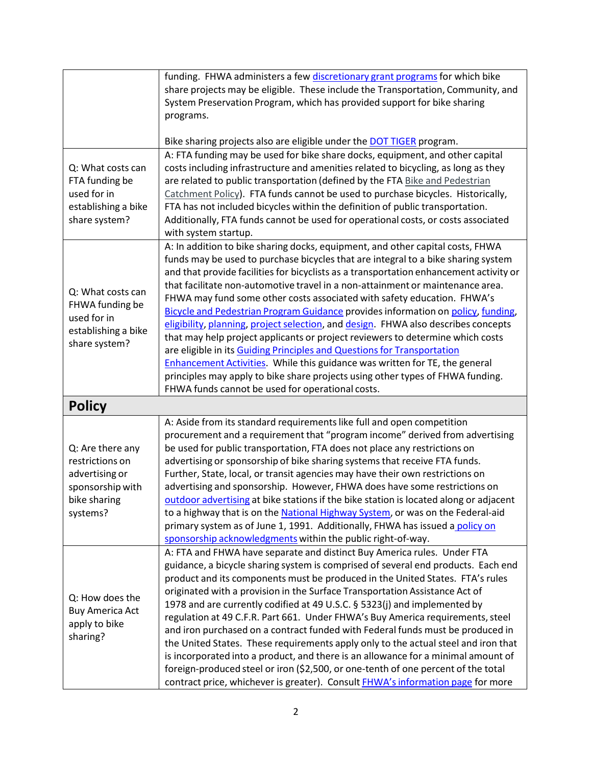|                                                                                                       | funding. FHWA administers a few discretionary grant programs for which bike<br>share projects may be eligible. These include the Transportation, Community, and<br>System Preservation Program, which has provided support for bike sharing<br>programs.                                                                                                                                                                                                                                                                                                                                                                                                                                                                                                                                                                                                                                                                                                                                      |
|-------------------------------------------------------------------------------------------------------|-----------------------------------------------------------------------------------------------------------------------------------------------------------------------------------------------------------------------------------------------------------------------------------------------------------------------------------------------------------------------------------------------------------------------------------------------------------------------------------------------------------------------------------------------------------------------------------------------------------------------------------------------------------------------------------------------------------------------------------------------------------------------------------------------------------------------------------------------------------------------------------------------------------------------------------------------------------------------------------------------|
| Q: What costs can<br>FTA funding be<br>used for in<br>establishing a bike<br>share system?            | Bike sharing projects also are eligible under the <b>DOT TIGER</b> program.<br>A: FTA funding may be used for bike share docks, equipment, and other capital<br>costs including infrastructure and amenities related to bicycling, as long as they<br>are related to public transportation (defined by the FTA Bike and Pedestrian<br>Catchment Policy). FTA funds cannot be used to purchase bicycles. Historically,<br>FTA has not included bicycles within the definition of public transportation.<br>Additionally, FTA funds cannot be used for operational costs, or costs associated<br>with system startup.                                                                                                                                                                                                                                                                                                                                                                           |
| Q: What costs can<br>FHWA funding be<br>used for in<br>establishing a bike<br>share system?           | A: In addition to bike sharing docks, equipment, and other capital costs, FHWA<br>funds may be used to purchase bicycles that are integral to a bike sharing system<br>and that provide facilities for bicyclists as a transportation enhancement activity or<br>that facilitate non-automotive travel in a non-attainment or maintenance area.<br>FHWA may fund some other costs associated with safety education. FHWA's<br>Bicycle and Pedestrian Program Guidance provides information on policy, funding,<br>eligibility, planning, project selection, and design. FHWA also describes concepts<br>that may help project applicants or project reviewers to determine which costs<br>are eligible in its Guiding Principles and Questions for Transportation<br><b>Enhancement Activities.</b> While this guidance was written for TE, the general<br>principles may apply to bike share projects using other types of FHWA funding.<br>FHWA funds cannot be used for operational costs. |
| <b>Policy</b>                                                                                         |                                                                                                                                                                                                                                                                                                                                                                                                                                                                                                                                                                                                                                                                                                                                                                                                                                                                                                                                                                                               |
| Q: Are there any<br>restrictions on<br>advertising or<br>sponsorship with<br>bike sharing<br>systems? | A: Aside from its standard requirements like full and open competition<br>procurement and a requirement that "program income" derived from advertising<br>be used for public transportation, FTA does not place any restrictions on<br>advertising or sponsorship of bike sharing systems that receive FTA funds.<br>Further, State, local, or transit agencies may have their own restrictions on<br>advertising and sponsorship. However, FHWA does have some restrictions on<br>outdoor advertising at bike stations if the bike station is located along or adjacent<br>to a highway that is on the National Highway System, or was on the Federal-aid<br>primary system as of June 1, 1991. Additionally, FHWA has issued a policy on<br>sponsorship acknowledgments within the public right-of-way.                                                                                                                                                                                     |
| Q: How does the<br><b>Buy America Act</b><br>apply to bike<br>sharing?                                | A: FTA and FHWA have separate and distinct Buy America rules. Under FTA<br>guidance, a bicycle sharing system is comprised of several end products. Each end<br>product and its components must be produced in the United States. FTA's rules<br>originated with a provision in the Surface Transportation Assistance Act of<br>1978 and are currently codified at 49 U.S.C. § 5323(j) and implemented by<br>regulation at 49 C.F.R. Part 661. Under FHWA's Buy America requirements, steel<br>and iron purchased on a contract funded with Federal funds must be produced in<br>the United States. These requirements apply only to the actual steel and iron that<br>is incorporated into a product, and there is an allowance for a minimal amount of<br>foreign-produced steel or iron (\$2,500, or one-tenth of one percent of the total<br>contract price, whichever is greater). Consult FHWA's information page for more                                                              |